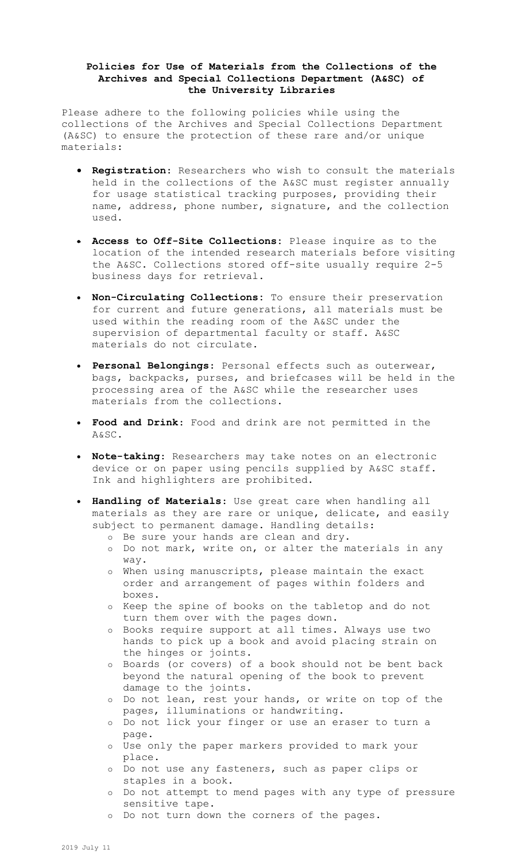## **Policies for Use of Materials from the Collections of the Archives and Special Collections Department (A&SC) of the University Libraries**

Please adhere to the following policies while using the collections of the Archives and Special Collections Department (A&SC) to ensure the protection of these rare and/or unique materials:

- **Registration**: Researchers who wish to consult the materials held in the collections of the A&SC must register annually for usage statistical tracking purposes, providing their name, address, phone number, signature, and the collection used.
- **Access to Off-Site Collections:** Please inquire as to the location of the intended research materials before visiting the A&SC. Collections stored off-site usually require 2-5 business days for retrieval.
- **Non-Circulating Collections:** To ensure their preservation for current and future generations, all materials must be used within the reading room of the A&SC under the supervision of departmental faculty or staff. A&SC materials do not circulate.
- **Personal Belongings**: Personal effects such as outerwear, bags, backpacks, purses, and briefcases will be held in the processing area of the A&SC while the researcher uses materials from the collections.
- **Food and Drink**: Food and drink are not permitted in the A&SC.
- **Note-taking**: Researchers may take notes on an electronic device or on paper using pencils supplied by A&SC staff. Ink and highlighters are prohibited.
- **Handling of Materials**: Use great care when handling all materials as they are rare or unique, delicate, and easily subject to permanent damage. Handling details:
	- o Be sure your hands are clean and dry.
	- o Do not mark, write on, or alter the materials in any way.
	- o When using manuscripts, please maintain the exact order and arrangement of pages within folders and boxes.
	- o Keep the spine of books on the tabletop and do not turn them over with the pages down.
	- o Books require support at all times. Always use two hands to pick up a book and avoid placing strain on the hinges or joints.
	- o Boards (or covers) of a book should not be bent back beyond the natural opening of the book to prevent damage to the joints.
	- o Do not lean, rest your hands, or write on top of the pages, illuminations or handwriting.
	- o Do not lick your finger or use an eraser to turn a page.
	- o Use only the paper markers provided to mark your place.
	- o Do not use any fasteners, such as paper clips or staples in a book.
	- o Do not attempt to mend pages with any type of pressure sensitive tape.
	- o Do not turn down the corners of the pages.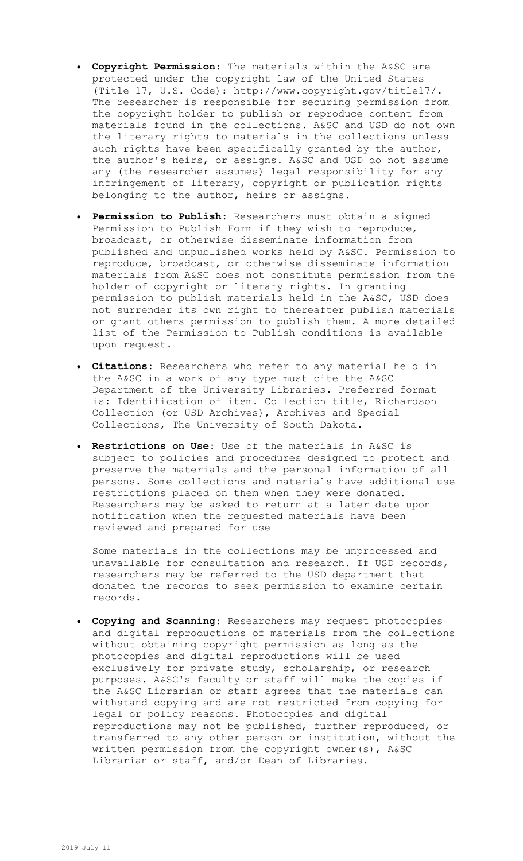- **Copyright Permission**: The materials within the A&SC are protected under the copyright law of the United States (Title 17, U.S. Code): [http://www.copyright.gov/title17/.](http://www.copyright.gov/title17/) The researcher is responsible for securing permission from the copyright holder to publish or reproduce content from materials found in the collections. A&SC and USD do not own the literary rights to materials in the collections unless such rights have been specifically granted by the author, the author's heirs, or assigns. A&SC and USD do not assume any (the researcher assumes) legal responsibility for any infringement of literary, copyright or publication rights belonging to the author, heirs or assigns.
- **Permission to Publish**: Researchers must obtain a signed Permission to Publish Form if they wish to reproduce, broadcast, or otherwise disseminate information from published and unpublished works held by A&SC. Permission to reproduce, broadcast, or otherwise disseminate information materials from A&SC does not constitute permission from the holder of copyright or literary rights. In granting permission to publish materials held in the A&SC, USD does not surrender its own right to thereafter publish materials or grant others permission to publish them. A more detailed list of the Permission to Publish conditions is available upon request.
- **Citations**: Researchers who refer to any material held in the A&SC in a work of any type must cite the A&SC Department of the University Libraries. Preferred format is: Identification of item. Collection title, Richardson Collection (or USD Archives), Archives and Special Collections, The University of South Dakota.
- **Restrictions on Use**: Use of the materials in A&SC is subject to policies and procedures designed to protect and preserve the materials and the personal information of all persons. Some collections and materials have additional use restrictions placed on them when they were donated. Researchers may be asked to return at a later date upon notification when the requested materials have been reviewed and prepared for use

Some materials in the collections may be unprocessed and unavailable for consultation and research. If USD records, researchers may be referred to the USD department that donated the records to seek permission to examine certain records.

 **Copying and Scanning**: Researchers may request photocopies and digital reproductions of materials from the collections without obtaining copyright permission as long as the photocopies and digital reproductions will be used exclusively for private study, scholarship, or research purposes. A&SC's faculty or staff will make the copies if the A&SC Librarian or staff agrees that the materials can withstand copying and are not restricted from copying for legal or policy reasons. Photocopies and digital reproductions may not be published, further reproduced, or transferred to any other person or institution, without the written permission from the copyright owner(s), A&SC Librarian or staff, and/or Dean of Libraries.